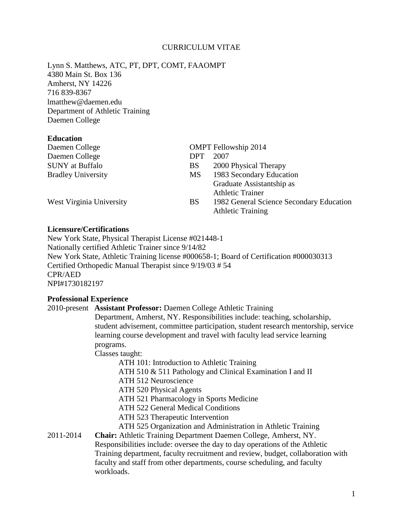## CURRICULUM VITAE

Lynn S. Matthews, ATC, PT, DPT, COMT, FAAOMPT 4380 Main St. Box 136 Amherst, NY 14226 716 839-8367 lmatthew@daemen.edu Department of Athletic Training Daemen College

## **Education**

| Daemen College            |            | <b>OMPT</b> Fellowship 2014                                          |
|---------------------------|------------|----------------------------------------------------------------------|
| Daemen College            | <b>DPT</b> | 2007                                                                 |
| <b>SUNY</b> at Buffalo    | <b>BS</b>  | 2000 Physical Therapy                                                |
| <b>Bradley University</b> | MS         | 1983 Secondary Education                                             |
|                           |            | Graduate Assistantship as                                            |
|                           |            | <b>Athletic Trainer</b>                                              |
| West Virginia University  | <b>BS</b>  | 1982 General Science Secondary Education<br><b>Athletic Training</b> |

## **Licensure/Certifications**

New York State, Physical Therapist License #021448-1 Nationally certified Athletic Trainer since 9/14/82 New York State, Athletic Training license #000658-1; Board of Certification #000030313 Certified Orthopedic Manual Therapist since 9/19/03 # 54 CPR/AED NPI#1730182197

## **Professional Experience**

|           | 2010-present Assistant Professor: Daemen College Athletic Training                |  |  |  |
|-----------|-----------------------------------------------------------------------------------|--|--|--|
|           | Department, Amherst, NY. Responsibilities include: teaching, scholarship,         |  |  |  |
|           | student advisement, committee participation, student research mentorship, service |  |  |  |
|           | learning course development and travel with faculty lead service learning         |  |  |  |
|           | programs.                                                                         |  |  |  |
|           | Classes taught:                                                                   |  |  |  |
|           | ATH 101: Introduction to Athletic Training                                        |  |  |  |
|           | ATH 510 & 511 Pathology and Clinical Examination I and II                         |  |  |  |
|           | ATH 512 Neuroscience                                                              |  |  |  |
|           | ATH 520 Physical Agents                                                           |  |  |  |
|           | ATH 521 Pharmacology in Sports Medicine                                           |  |  |  |
|           | <b>ATH 522 General Medical Conditions</b>                                         |  |  |  |
|           | ATH 523 Therapeutic Intervention                                                  |  |  |  |
|           | ATH 525 Organization and Administration in Athletic Training                      |  |  |  |
| 2011-2014 | Chair: Athletic Training Department Daemen College, Amherst, NY.                  |  |  |  |
|           | Responsibilities include: oversee the day to day operations of the Athletic       |  |  |  |
|           | Training department, faculty recruitment and review, budget, collaboration with   |  |  |  |
|           | faculty and staff from other departments, course scheduling, and faculty          |  |  |  |
|           | workloads.                                                                        |  |  |  |
|           |                                                                                   |  |  |  |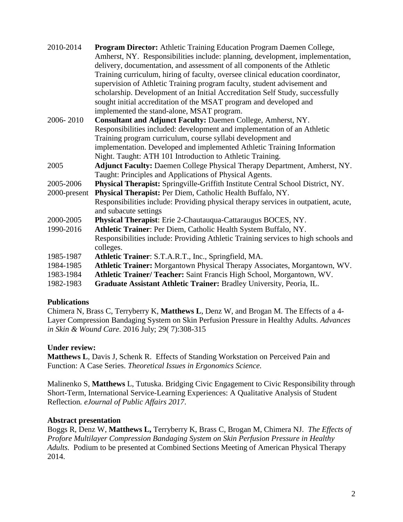| 2010-2014    | Program Director: Athletic Training Education Program Daemen College,<br>Amherst, NY. Responsibilities include: planning, development, implementation,<br>delivery, documentation, and assessment of all components of the Athletic<br>Training curriculum, hiring of faculty, oversee clinical education coordinator,<br>supervision of Athletic Training program faculty, student advisement and<br>scholarship. Development of an Initial Accreditation Self Study, successfully<br>sought initial accreditation of the MSAT program and developed and<br>implemented the stand-alone, MSAT program. |
|--------------|---------------------------------------------------------------------------------------------------------------------------------------------------------------------------------------------------------------------------------------------------------------------------------------------------------------------------------------------------------------------------------------------------------------------------------------------------------------------------------------------------------------------------------------------------------------------------------------------------------|
| 2006-2010    | Consultant and Adjunct Faculty: Daemen College, Amherst, NY.                                                                                                                                                                                                                                                                                                                                                                                                                                                                                                                                            |
|              | Responsibilities included: development and implementation of an Athletic                                                                                                                                                                                                                                                                                                                                                                                                                                                                                                                                |
|              | Training program curriculum, course syllabi development and                                                                                                                                                                                                                                                                                                                                                                                                                                                                                                                                             |
|              | implementation. Developed and implemented Athletic Training Information                                                                                                                                                                                                                                                                                                                                                                                                                                                                                                                                 |
|              | Night. Taught: ATH 101 Introduction to Athletic Training.                                                                                                                                                                                                                                                                                                                                                                                                                                                                                                                                               |
| 2005         | Adjunct Faculty: Daemen College Physical Therapy Department, Amherst, NY.                                                                                                                                                                                                                                                                                                                                                                                                                                                                                                                               |
|              | Taught: Principles and Applications of Physical Agents.                                                                                                                                                                                                                                                                                                                                                                                                                                                                                                                                                 |
| 2005-2006    | Physical Therapist: Springville-Griffith Institute Central School District, NY.                                                                                                                                                                                                                                                                                                                                                                                                                                                                                                                         |
| 2000-present | Physical Therapist: Per Diem, Catholic Health Buffalo, NY.                                                                                                                                                                                                                                                                                                                                                                                                                                                                                                                                              |
|              | Responsibilities include: Providing physical therapy services in outpatient, acute,<br>and subacute settings                                                                                                                                                                                                                                                                                                                                                                                                                                                                                            |
| 2000-2005    | Physical Therapist: Erie 2-Chautauqua-Cattaraugus BOCES, NY.                                                                                                                                                                                                                                                                                                                                                                                                                                                                                                                                            |
| 1990-2016    | Athletic Trainer: Per Diem, Catholic Health System Buffalo, NY.                                                                                                                                                                                                                                                                                                                                                                                                                                                                                                                                         |
|              | Responsibilities include: Providing Athletic Training services to high schools and<br>colleges.                                                                                                                                                                                                                                                                                                                                                                                                                                                                                                         |
| 1985-1987    | Athletic Trainer: S.T.A.R.T., Inc., Springfield, MA.                                                                                                                                                                                                                                                                                                                                                                                                                                                                                                                                                    |
| 1984-1985    | Athletic Trainer: Morgantown Physical Therapy Associates, Morgantown, WV.                                                                                                                                                                                                                                                                                                                                                                                                                                                                                                                               |
| 1983-1984    | Athletic Trainer/ Teacher: Saint Francis High School, Morgantown, WV.                                                                                                                                                                                                                                                                                                                                                                                                                                                                                                                                   |
| 1982-1983    | Graduate Assistant Athletic Trainer: Bradley University, Peoria, IL.                                                                                                                                                                                                                                                                                                                                                                                                                                                                                                                                    |
|              |                                                                                                                                                                                                                                                                                                                                                                                                                                                                                                                                                                                                         |

## **Publications**

Chimera N, Brass C, Terryberry K, **Matthews L**, Denz W, and Brogan M. The Effects of a 4- Layer Compression Bandaging System on Skin Perfusion Pressure in Healthy Adults. *Advances in Skin & Wound Care.* 2016 July; 29( 7):308-315

# **Under review:**

**Matthews L**, Davis J, Schenk R. Effects of Standing Workstation on Perceived Pain and Function: A Case Series. *Theoretical Issues in Ergonomics Science.*

Malinenko S, **Matthews** L, Tutuska. Bridging Civic Engagement to Civic Responsibility through Short-Term, International Service-Learning Experiences: A Qualitative Analysis of Student Reflection*. eJournal of Public Affairs 2017*.

## **Abstract presentation**

Boggs R, Denz W, **Matthews L,** Terryberry K, Brass C, Brogan M, Chimera NJ. *The Effects of Profore Multilayer Compression Bandaging System on Skin Perfusion Pressure in Healthy Adults.* Podium to be presented at Combined Sections Meeting of American Physical Therapy 2014.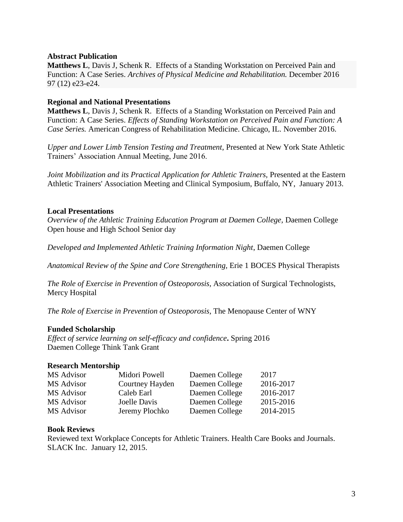## **Abstract Publication**

**Matthews L**, Davis J, Schenk R. Effects of a Standing Workstation on Perceived Pain and Function: A Case Series. *Archives of Physical Medicine and Rehabilitation.* December 2016 97 (12) e23-e24.

### **Regional and National Presentations**

**Matthews L**, Davis J, Schenk R. Effects of a Standing Workstation on Perceived Pain and Function: A Case Series. *Effects of Standing Workstation on Perceived Pain and Function: A Case Series.* American Congress of Rehabilitation Medicine. Chicago, IL. November 2016.

*Upper and Lower Limb Tension Testing and Treatment*, Presented at New York State Athletic Trainers' Association Annual Meeting, June 2016.

*Joint Mobilization and its Practical Application for Athletic Trainers, Presented at the Eastern* Athletic Trainers' Association Meeting and Clinical Symposium, Buffalo, NY, January 2013.

#### **Local Presentations**

*Overview of the Athletic Training Education Program at Daemen College, Daemen College* Open house and High School Senior day

*Developed and Implemented Athletic Training Information Night*, Daemen College

*Anatomical Review of the Spine and Core Strengthening,* Erie 1 BOCES Physical Therapists

*The Role of Exercise in Prevention of Osteoporosis,* Association of Surgical Technologists, Mercy Hospital

*The Role of Exercise in Prevention of Osteoporosis,* The Menopause Center of WNY

### **Funded Scholarship**

*Effect of service learning on self-efficacy and confidence***.** Spring 2016 Daemen College Think Tank Grant

#### **Research Mentorship**

| MS Advisor | Midori Powell   | Daemen College | 2017      |
|------------|-----------------|----------------|-----------|
| MS Advisor | Courtney Hayden | Daemen College | 2016-2017 |
| MS Advisor | Caleb Earl      | Daemen College | 2016-2017 |
| MS Advisor | Joelle Davis    | Daemen College | 2015-2016 |
| MS Advisor | Jeremy Plochko  | Daemen College | 2014-2015 |

### **Book Reviews**

Reviewed text Workplace Concepts for Athletic Trainers. Health Care Books and Journals. SLACK Inc. January 12, 2015.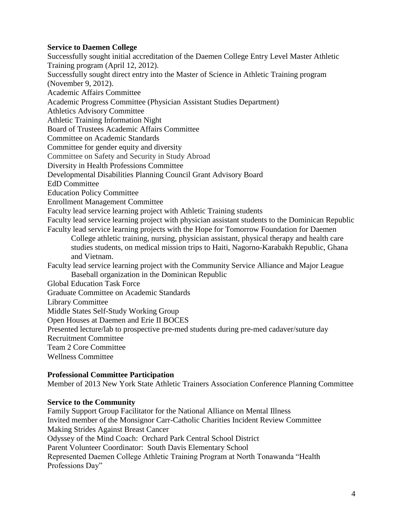## **Service to Daemen College**

Successfully sought initial accreditation of the Daemen College Entry Level Master Athletic Training program (April 12, 2012). Successfully sought direct entry into the Master of Science in Athletic Training program (November 9, 2012). Academic Affairs Committee Academic Progress Committee (Physician Assistant Studies Department) Athletics Advisory Committee Athletic Training Information Night Board of Trustees Academic Affairs Committee Committee on Academic Standards Committee for gender equity and diversity Committee on Safety and Security in Study Abroad Diversity in Health Professions Committee Developmental Disabilities Planning Council Grant Advisory Board EdD Committee Education Policy Committee Enrollment Management Committee Faculty lead service learning project with Athletic Training students Faculty lead service learning project with physician assistant students to the Dominican Republic Faculty lead service learning projects with the Hope for Tomorrow Foundation for Daemen College athletic training, nursing, physician assistant, physical therapy and health care studies students, on medical mission trips to Haiti, Nagorno-Karabakh Republic, Ghana and Vietnam. Faculty lead service learning project with the Community Service Alliance and Major League Baseball organization in the Dominican Republic Global Education Task Force Graduate Committee on Academic Standards Library Committee Middle States Self-Study Working Group Open Houses at Daemen and Erie II BOCES Presented lecture/lab to prospective pre-med students during pre-med cadaver/suture day Recruitment Committee Team 2 Core Committee

Wellness Committee

### **Professional Committee Participation**

Member of 2013 New York State Athletic Trainers Association Conference Planning Committee

#### **Service to the Community**

Family Support Group Facilitator for the National Alliance on Mental Illness Invited member of the Monsignor Carr-Catholic Charities Incident Review Committee Making Strides Against Breast Cancer Odyssey of the Mind Coach: Orchard Park Central School District Parent Volunteer Coordinator: South Davis Elementary School Represented Daemen College Athletic Training Program at North Tonawanda "Health Professions Day"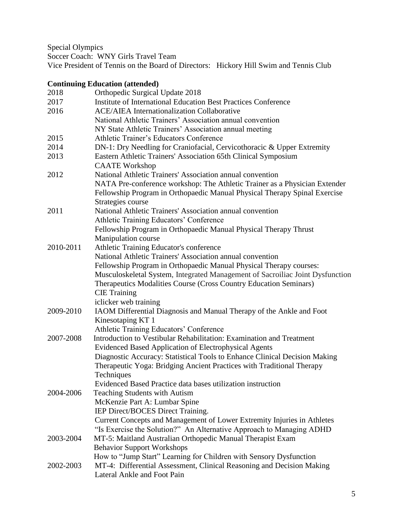Special Olympics

Soccer Coach: WNY Girls Travel Team

Vice President of Tennis on the Board of Directors: Hickory Hill Swim and Tennis Club

# **Continuing Education (attended)**

| 2018      | Orthopedic Surgical Update 2018                                               |
|-----------|-------------------------------------------------------------------------------|
| 2017      | <b>Institute of International Education Best Practices Conference</b>         |
| 2016      | <b>ACE/AIEA</b> Internationalization Collaborative                            |
|           | National Athletic Trainers' Association annual convention                     |
|           | NY State Athletic Trainers' Association annual meeting                        |
| 2015      | Athletic Trainer's Educators Conference                                       |
| 2014      | DN-1: Dry Needling for Craniofacial, Cervicothoracic & Upper Extremity        |
| 2013      | Eastern Athletic Trainers' Association 65th Clinical Symposium                |
|           | <b>CAATE Workshop</b>                                                         |
| 2012      | National Athletic Trainers' Association annual convention                     |
|           | NATA Pre-conference workshop: The Athletic Trainer as a Physician Extender    |
|           | Fellowship Program in Orthopaedic Manual Physical Therapy Spinal Exercise     |
|           | Strategies course                                                             |
| 2011      | National Athletic Trainers' Association annual convention                     |
|           | Athletic Training Educators' Conference                                       |
|           | Fellowship Program in Orthopaedic Manual Physical Therapy Thrust              |
|           | Manipulation course                                                           |
| 2010-2011 | Athletic Training Educator's conference                                       |
|           | National Athletic Trainers' Association annual convention                     |
|           | Fellowship Program in Orthopaedic Manual Physical Therapy courses:            |
|           | Musculoskeletal System, Integrated Management of Sacroiliac Joint Dysfunction |
|           | Therapeutics Modalities Course (Cross Country Education Seminars)             |
|           | <b>CIE</b> Training                                                           |
|           | iclicker web training                                                         |
| 2009-2010 | IAOM Differential Diagnosis and Manual Therapy of the Ankle and Foot          |
|           | Kinesotaping KT 1                                                             |
|           | Athletic Training Educators' Conference                                       |
| 2007-2008 | Introduction to Vestibular Rehabilitation: Examination and Treatment          |
|           | <b>Evidenced Based Application of Electrophysical Agents</b>                  |
|           | Diagnostic Accuracy: Statistical Tools to Enhance Clinical Decision Making    |
|           | Therapeutic Yoga: Bridging Ancient Practices with Traditional Therapy         |
|           | Techniques                                                                    |
|           | Evidenced Based Practice data bases utilization instruction                   |
| 2004-2006 | <b>Teaching Students with Autism</b>                                          |
|           | McKenzie Part A: Lumbar Spine                                                 |
|           | IEP Direct/BOCES Direct Training.                                             |
|           | Current Concepts and Management of Lower Extremity Injuries in Athletes       |
|           | "Is Exercise the Solution?" An Alternative Approach to Managing ADHD          |
| 2003-2004 | MT-5: Maitland Australian Orthopedic Manual Therapist Exam                    |
|           | <b>Behavior Support Workshops</b>                                             |
|           | How to "Jump Start" Learning for Children with Sensory Dysfunction            |
| 2002-2003 | MT-4: Differential Assessment, Clinical Reasoning and Decision Making         |
|           | Lateral Ankle and Foot Pain                                                   |